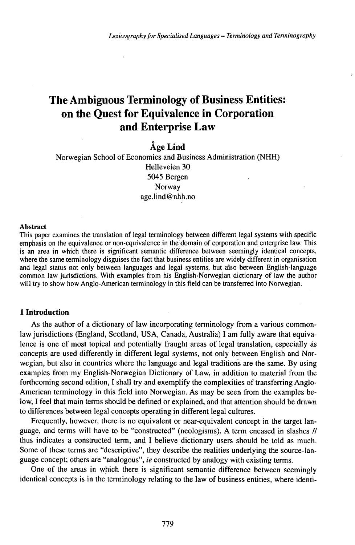# The Ambiguous Terminology of Business Entities: on the Quest for Equivalence in Corporation and Enterprise Law

# Åge Lind

Norwegian School of Economics and Business Administration (NHH) Helleveien 30 5045 Bergen Norway age.lind@nhh.no

#### Abstract

This paper examines the translation of legal terminology between different legal systems with specific emphasis on the equivalence or non-equivalence in the domain of corporation and enterprise law. This is an area in which there is significant semantic difference between seemingly identical concepts, where the same terminology disguises the fact that business entities are widely different in organisation and legal status not only between languages and legal systems, but also between English-language common law jurisdictions. With examples from his English-Norwegian dictionary of law the author will try to show how Anglo-American terminology in this field can be transferred into Norwegian.

## **1 Introduction**

As the author of a dictionary of law incorporating terminology from a various commonlaw jurisdictions (England, Scotland, USA, Canada, Australia) I am fully aware that equivalence is one of most topical and potentially fraught areas of legal translation, especially às concepts are used differently in different legal systems, not only between English and Norwegian, but also in countries where the language and legal traditions are the same. By using examples from my English-Norwegian Dictionary of Law, in addition to material from the forthcoming second edition, I shall try and exemplify the complexities of transferring Anglo-American terminology in this field into Norwegian. As may be seen from the examples below, I feel that main terms should be defined or explained, and that attention should be drawn to differences between legal concepts operating in different legal cultures.

Frequently, however, there is no equivalent or near-equivalent concept in the target language, and terms will have to be "constructed" (neologisms). A term encased in slashes // thus indicates a constructed term, and I believe dictionary users should be told as much. Some of these terms are "descriptive", they describe the realities underlying the source-language concept; others are "analogous", *ie* constructed by analogy with existing terms.

One of the areas in which there is significant semantic difference between seemingly identical concepts is in the terminology relating to the law of business entities, where identi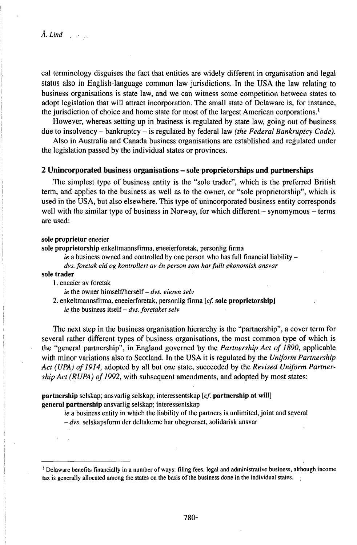cal terminology disguises the fact that entities are widely different in organisation and legal status also in English-language common law jurisdictions. In the USA the law relating to business organisations is state law, and we can witness some competition between states to adopt legislation that will attract incorporation. The small state of Delaware is, for instance, the jurisdiction of choice and home state for most of the largest American corporations.<sup>1</sup>

However, whereas setting up in business is regulated by state law, going out of business due to insolvency - bankruptcy - is regulated by federal law *(the Federal Bankruptcy Code).*

Also in Australia and Canada business organisations are established and regulated under the legislation passed by the individual states or provinces.

# **<sup>2</sup> Unincorporated business organisations -sole proprietorships and partnerships**

The simplest type of business entity is the "sole trader", which is the preferred British term, and applies to the business as well as to the owner, or "sole proprietorship", which is used in the USA, but also elsewhere. This type of unincorporated business entity corresponds well with the similar type of business in Norway, for which different – synomymous – terms are used:

#### sole proprietor eneeier

sole proprietorship enkeltmannsfirma, eneeierforetak, personlig firma

*ie* a business owned and controlled by one person who has full financial liability –

# *dvs. foretak eid og kontrollert av én person som harfullt 0konomisk ansvar*

### sole trader

1. eneeier av foretak

*ie* the owner himself7herself-dvs. *eieren selv*

*2.* enkeltmannsfirma, eneeierforetak, personlig firma *[cf.* sole proprietorship] *ie* the business itself- *dvs. foretaket selv*

The next step in the business organisation hierarchy is the "partnership", a cover term for several rather different types of business organisations, the most common type of which is the "general partnership", in England governed by the *Partnership Act of 1890,* applicable with minor variations also to Scotland. In the USA it is regulated by the *Uniform Partnership* Act (UPA) of 1914, adopted by all but one state, succeeded by the *Revised Uniform Partnership Act* (*RUPA*) *of 1992*, with subsequent amendments, and adopted by most states:

partnership selskap; ansvarlig selskap; interessentskap  $[cf]$ . partnership at will general partnership ansvarlig selskap; interessentskap

*ie* a business entity in which the liability of the partners is unlimited, joint and several

- *dvs.* selskapsform der deltakerne har ubegrenset, solidarisk ansvar

<sup>&#</sup>x27; Delaware benefits financially in a number of ways: filing fees, legal and administrative business, although income tax is generally allocated among the states on the basis ofthe business done in the individual states.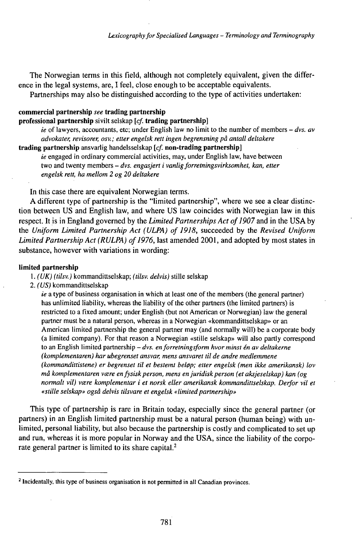The Norwegian terms in this field, although not completely equivalent, given the difference in the legal systems, are, I feel, close enough to be acceptable equivalents.

Partnerships may also be distinguished according to the type of activities undertaken:

# **commercial partnership** *see* **trading partnership**

### **professional partnership** sivilt selskap *[cf.* **trading partnership]**

*ie* of lawyers, accountants, etc; under English law no limit to the number of members - *dvs. av advokater, revisorer, osv.; etter engelsk rett ingen begrensning på antall deltakere*

**trading partnership** ansvarlig handelsselskap *[cf.* **non-trading partnership]**

*ie* engaged in ordinary commercial activities, may, under English law, have between two and twenty members - *dvs. engasjert <sup>i</sup> vanligforretningsvirksomhet, kan, etter engelsk rett, ha mellom 2 og 20 deltakere*

In this case there are equivalent Norwegian terms.

A different type of partnership is the "limited partnership", where we see a clear distinction between US and English law, and where US law coincides with Norwegian law in this respect. It is in England governed by the *Limited Partnerships Act ofl907* and in the USA by the *Uniform Limited Partnership Act (ULPA) of 1918,* succeeded by the *Revised Uniform Limited Partnership Act* (*RULPA*) *of 1976*, last amended 2001, and adopted by most states in substance, however with variations in wording:

### **limited partnership**

- 1. *(UK) (tilsv.)* kommandittselskap; *(tilsv. delvis)* stille selskap
- 2. *(US)* kommandittselskap

*ie* a type of business organisation in which at least one of the members (the general partner) has unlimited liability, whereas the liability of the other partners (the limited partners) is restricted to a fixed amount; under English (but not American or Norwegian) law the general partner must be a natural person, whereas in a Norwegian «kommandittselskap» or an American limited partnership the general partner may (and normally will) be a corporate body (a limited company). For that reason a Norwegian «stille selskap» will also partly correspond to an English limited partnership - *dvs. enforretningsform hvor minst én av deltakerne (komplementaren) har ubegrenset ansvar, mens ansvaret til de andre medlemmene (kommandittistene) er begrenset til et bestemt bel0p; etter engelsk (men ikke amerikansk) lov må komplementaren vœre enfysiskperson, mens enjuridiskperson (etaksjeselskap) kan (og normalt vil) vœre komplementär i et norsk eller amerikansk kommandittselskap. Derfor vil et «stille selskap» også delvis tilsvare et engelsk «limitedpartnership»*

This type of partnership is rare in Britain today, especially since the general partner (or partners) in an English limited partnership must be a natural person (human being) with unlimited, personal liability, but also because the partnership is costly and complicated to set up and run, whereas it is more popular in Norway and the USA, since the liability of the corporate general partner is limited to its share capital.<sup>2</sup>

<sup>&</sup>lt;sup>2</sup> Incidentally, this type of business organisation is not permitted in all Canadian provinces.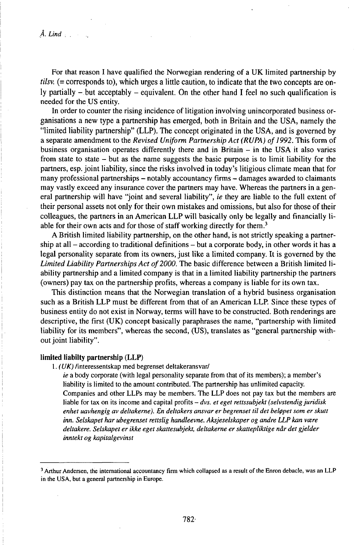For that reason I have qualified the Norwegian rendering of a UK limited partnership by *tilsv.* (= corresponds to), which urges a little caution, to indicate that the two concepts are only partially  $-$  but acceptably  $-$  equivalent. On the other hand I feel no such qualification is needed for the US entity.

In order to counter the rising incidence of litigation involving unincorporated business organisations a new type a partnership has emerged, both in Britain and the USA, namely the "limited liability partnership" (LLP). The concept originated in the USA, and is governed by a separate amendment to the *Revised Uniform Partnership Act (RUPA) ofl992.* This form of business organisation operates differently there and in Britain  $-$  in the USA it also varies from state to state - but as the name suggests the basic purpose is to limit liability for the partners, esp. joint liability, since the risks involved in today's litigious climate mean that for many professional partnerships – notably accountancy firms – damages awarded to claimants may vastly exceed any insurance cover the partners may have. Whereas the partners in a general partnership will have "joint and several liability", *ie* they are liable to the full extent of their personal assets not only for their own mistakes and omissions, but also for those of their colleagues, the partners in an American LLP will basically only be legally and financially liable for their own acts and for those of staff working directly for them.<sup>3</sup>

A British limited liability partnership, on the other hand, is not strictly speaking a partnership at all  $-$  according to traditional definitions  $-$  but a corporate body, in other words it has a legal personality separate from its owners, just like a limited company. It is governed by the Limited Liability Partnerships Act of 2000. The basic difference between a British limited liability partnership and a limited company is that in a limited liability partnership the partners (owners) pay tax on the partnership profits, whereas a company is liable for its own tax.

This distinction means that the Norwegian translation of a hybrid business organisation such as a British LLP must be different from that of an American LLP. Since these types of business entity do not exist in Norway, terms will have to be constructed. Both renderings are descriptive, the first (UK) concept basically paraphrases the name, "partnership with limited liability for its members", whereas the second, (US), translates as "general partnership without joint liability".

#### limited liabilty partnership (LLP)

1. *(UK)* /interessentskap med begrenset deltakeransvar/

*ie* a body corporate (with legal personality separate from that of its members); a member's liability is limited to the amount contributed. The partnership has unlimited capacity. Companies and other LLPs may be members. The LLP does not pay tax but the members are liable for tax on its income and capital profits - *dvs. et eget rettssubjekt (selvstendig juridisk enhet uavhengig av deltakerne). En deltakers ansvar er begrenset til det bel0pet som er skutt inn. Selskapet har ubegrenset rettslig handleevne. Aksjeselskaper og andre LLP kan vcere deltakere. Selskapet er ikke eget skattesubjekt, deltakerne er skattepliktige når det gjelder inntekt og kapitalgevinst*

<sup>3</sup> Arthur Andersen, the international accountancy firm which collapsed as a result of the Enron debacle, was an LLP in the USA, but a general partnership in Europe.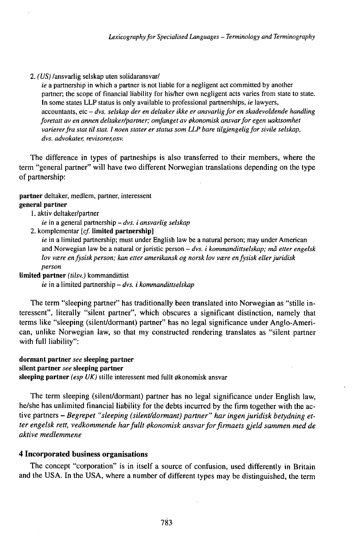#### *2. (US)* /ansvarlig selskap uten solidaransvar/

*ie* a partnership in which a partner is not liable for a negligent act committed by another partner; the scope of financial liability for his/her own negligent acts varies from state to state. In some states LLP status is only available to professional partnerships, *ie* lawyers, accountants, etc - *dvs. selskap der en deltaker ikke er ansvarligfor en skadevoldende handling foretatt av en annen deltaker/partner; omfanget av 0konomisk ansvarfor egen uaktsomhet variererfra stat til stat. <sup>1</sup> noen stater er status som LLP bare tilgjengeligfor sivile selskap, dvs. advokater, revisorer,osv.*

The difference in types of partneships is also transferred to their members, where the term "general partner" will have two different Norwegian translations depending on the type of partnership:

**partner** deltaker, medlem, partner, interessent **general partner**

### 1. aktiv deltaker/partner

- *ie* in <sup>a</sup> general partnership *dvs. <sup>i</sup> ansvarlig selskap*
- *2.* komplementär *[cf.* **limited partnership]**

*ie* in a limited partnership; must under English law be a natural person; may under American and Norwegian law be <sup>a</sup> natural orjuristic person - *dvs. <sup>i</sup> kommandittselskap; må etter engelsk lov vœre enfysiskperson; kan etter amerikansk og norsk lov vœre enfysisk ellerjuridisk person*

**limited partner** *(tilsv.)* kommandittist

*ie* in <sup>a</sup> limited partnership - *dvs. <sup>i</sup> kommandittselskap*

The term "sleeping partner" has traditionally been translated into Norwegian as "stille interessent", literally "silent partner", which obscures a significant distinction, namely that terms like "sleeping (silent/dormant) partner" has no legal significance under Anglo-American, unlike Norwegian law, so that my constructed rendering translates as "silent partner with full liability":

#### **dormant partner** *see* **sleeping partner silent partner** *see* **sleeping partner sleeping partner** (esp UK) stille interessent med fullt økonomisk ansvar

The term sleeping (silent/dormant) partner has no legal significance under English law,

he/she has unlimited financial liability for the debts incurred by the firm together with the active partners - *Begrepet "sleeping (silent/dormant) partner" har ingenjuridisk betydning etter engelsk rett, vedkommende harfullt 0konomisk ansvarforfirmaets gjeld sammen med de aktive medlemmene*

## **4 Incorporated business organisations**

The concept "corporation" is in itself a source of confusion, used differently in Britain and the USA. In the USA, where a number of different types may be distinguished, the term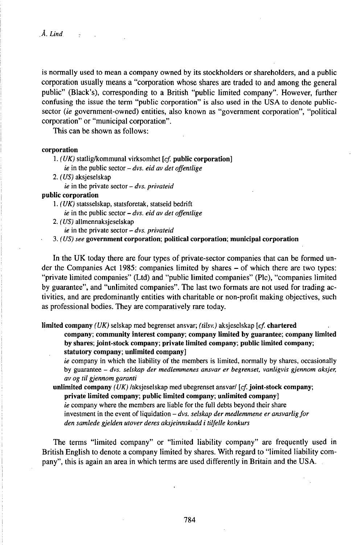is normally used to mean a company owned by its stockholders or shareholders, and a public corporation usually means a "corporation whose shares are traded to and among the general public" (Black's), corresponding to a British "public limited company". However, further confusing the issue the term "public corporation" is also used in the USA to denote publicsector *(ie* government-owned) entities, also known as "government corporation", "political corporation" or "municipal corporation".

This can be shown as follows:

#### corporation

1. *(UK)* statligflcommunal virksomhet *[cf.* public corporation]

- *ie* in the public sector *dvs. eid av det offentlige*
- *2. (US)* aksjeselskap
	- *ie* in the private sector *dvs. privateid*

## public corporation

1. *(UK)* statsselskap, statsforetak, statseid bedrift *ie* in the public sector - *dvs. eid av det offentlige*

*2. (US)* allmennaksjeselskap

*ie* in the private sector - *dvs. privateid*

3. *(US) see* government corporation; political corporation; municipal corporation

In the UK today there are four types of private-sector companies that can be formed under the Companies Act 1985: companies limited by shares – of which there are two types: "private limited companies" (Ltd) and "public limited companies" (Plc), "companies limited by guarantee", and "unlimited companies". The last two formats are not used for trading activities, and are predominantly entities with charitable or non-profit making objectives, such as professional bodies. They are comparatively rare today.

limited company *(UK)* selskap med begrenset ansvar; *(tilsv.)* aksjeselskap *[cf.* chartered

company; community interest company; company limited by guarantee; company limited by shares; joint-stock company; private limited company; public limited company; statutory company; unlimited company]

*ie* company in which the liability of the members is limited, normally by shares, occasionally by guarantee - *dvs. selskap der medlemmenes ansvar er begrenset, vanligvis gjennom aksjer, av og til gjennom garanti*

unlimited company *(UK)* /aksjeselskap med ubegrenset ansvar/ *[cf.* joint-stock company; private limited company; public limited company; unlimited company] *ie* company where the members are liable for the full debts beyond their share investment in the event of liquidation – *dvs. selskap der medlemmene er ansvarlig for den samlede gjelden Mover deres aksjeinnskudd i tilfelle konkurs*

The terms "limited company" or "limited liability company" are frequently used in British English to denote a company limited by shares. With regard to "limited liability company", this is again an area in which terms are used differently in Britain and the USA.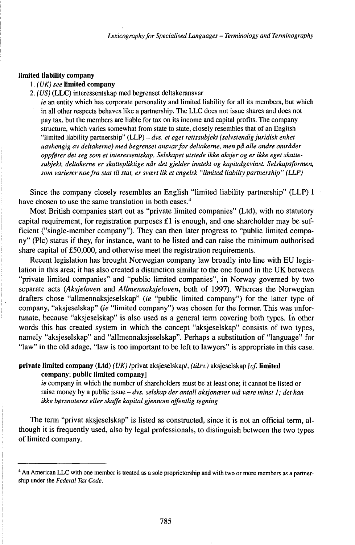#### **limited liability company**

#### **1.** *(UK) see* **limited company**

2. *(US)* **(LLC)** interessentskap med begrenset deltakeransvar

*ie* an entity which has corporate personality and limited liability for all its members, but which in all other respects behaves like a partnership. The LLC does not issue shares and does not pay tax, but the members are liable for tax on its income and capital profits. The company structure, which varies somewhat from state to state, closely resembles that of an English "limited liability partnership" (LLP) - *dvs. et eget rettssubjekt (selvstendigjuridisk enhet uavhengig av deltakerne) med begrenset ansvarfor deltakerne, men på alle andre områder oppf0rer det seg som et interessentskap. Selskapet utstede ikke aksjer og er ikke eget skattesubjekt, deltakerne er skattepliktige når det gjelder inntekt og kapitalgevinst. Selskapsformen, som varierer noefra stat til stat, er svœrt lik et engelsk "limited liabiltypartnership" (LLP)*

Since the company closely resembles an English "limited liability partnership" (LLP) I have chosen to use the same translation in both cases.<sup>4</sup>

Most British companies start out as "private limited companies" (Ltd), with no statutory capital requirement, for registration purposes  $£1$  is enough, and one shareholder may be sufficient ("single-member company"). They can then later progress to "public limited company" (Plc) status if they, for instance, want to be listed and can raise the minimum authorised share capital of £50,000, and otherwise meet the registration requirements.

Recent legislation has brought Norwegian company law broadly into line with EU legislation in this area; it has also created a distinction similar to the one found in the UK between "private limited companies" and "public limited companies", in Norway governed by two separate acts *(Aksjeloven* and *Allmennaksjeloven,* both of 1997). Whereas the Norwegian drafters chose "allmennaksjeselskap" *(ie* "public limited company") for the latter type of company, "aksjeselskap" *(ie* "limited company") was chosen for the former. This was unfortunate, because "aksjeselskap" is also used as a general term covering both types. In other words this has created system in which the concept "aksjeselskap" consists of two types, namely "aksjeselskap" and "allmennaksjeselskap". Perhaps a substitution of "language" for "law" in the old adage, "law is too important to be left to lawyers" is appropriate in this case.

# **private limited company (Ltd)** *(UK)* /privat aksjeselskap/, *(tilsv.)* aksjeselskap *[cf.* **limited company; public limited company]**

*ie* company in which the number of shareholders must be at least one; it cannot be listed or raise money by <sup>a</sup> public issue - *dvs. selskap der antall aksjonœrer må vœre minst 1; detkan ikke b0rsnoteres eller skaffe kapital gjennom offentlig tegning*

The term "privat aksjeselskap" is listed as constructed, since it is not an official term, although it is frequently used, also by legal professionals, to distinguish between the two types of limited company.

<sup>4</sup> An American LLC with one member is treated as a sole proprietorship and with two or more members as a partnership under the *Federal Tax Code.*